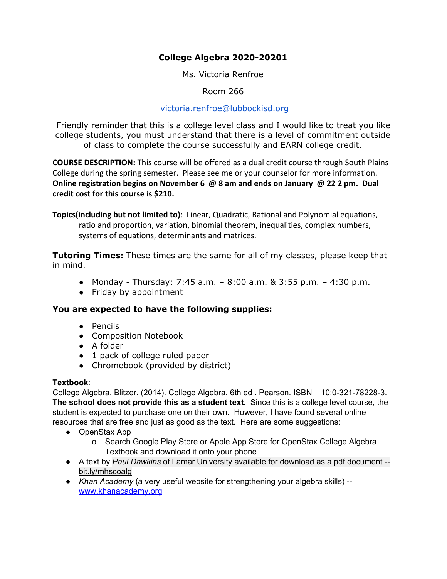# **College Algebra 2020-20201**

Ms. Victoria Renfroe

Room 266

#### [victoria.renfroe@lubbockisd.org](mailto:victoria.renfroe@lubbockisd.org)

Friendly reminder that this is a college level class and I would like to treat you like college students, you must understand that there is a level of commitment outside of class to complete the course successfully and EARN college credit.

**COURSE DESCRIPTION:** This course will be offered as a dual credit course through South Plains College during the spring semester.Please see me or your counselor for more information. **Online registration begins on November 6 @ 8 am and ends on January @ 22 2 pm. Dual credit cost for this course is \$210.**

**Topics(including but not limited to)**: Linear, Quadratic, Rational and Polynomial equations, ratio and proportion, variation, binomial theorem, inequalities, complex numbers, systems of equations, determinants and matrices.

**Tutoring Times:** These times are the same for all of my classes, please keep that in mind.

- Monday Thursday: 7:45 a.m.  $-8:00$  a.m.  $8:3:55$  p.m.  $-4:30$  p.m.
- Friday by appointment

### **You are expected to have the following supplies:**

- Pencils
- Composition Notebook
- A folder
- 1 pack of college ruled paper
- Chromebook (provided by district)

#### **Textbook**:

College Algebra, Blitzer. (2014). College Algebra, 6th ed . Pearson. ISBN 10:0-321-78228-3. **The school does not provide this as a student text.** Since this is a college level course, the student is expected to purchase one on their own. However, I have found several online resources that are free and just as good as the text. Here are some suggestions:

- OpenStax App
	- o Search Google Play Store or Apple App Store for OpenStax College Algebra Textbook and download it onto your phone
- A text by *Paul Dawkins* of Lamar University available for download as a pdf document bit.ly/mhscoalg
- *Khan Academy* (a very useful website for strengthening your algebra skills) [www.khanacademy.org](http://www.khanacademy.org/)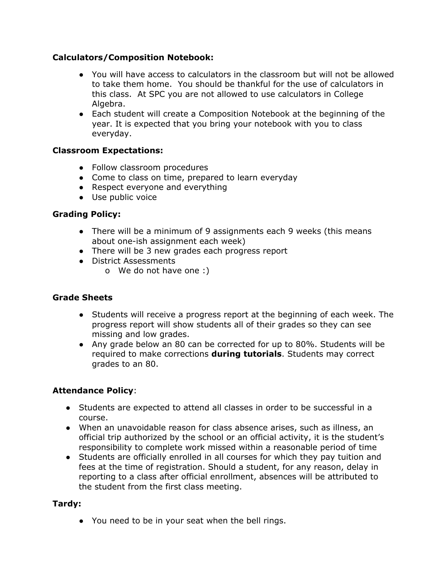### **Calculators/Composition Notebook:**

- You will have access to calculators in the classroom but will not be allowed to take them home. You should be thankful for the use of calculators in this class. At SPC you are not allowed to use calculators in College Algebra.
- Each student will create a Composition Notebook at the beginning of the year. It is expected that you bring your notebook with you to class everyday.

# **Classroom Expectations:**

- Follow classroom procedures
- Come to class on time, prepared to learn everyday
- Respect everyone and everything
- Use public voice

# **Grading Policy:**

- There will be a minimum of 9 assignments each 9 weeks (this means about one-ish assignment each week)
- There will be 3 new grades each progress report
- District Assessments
	- o We do not have one :)

### **Grade Sheets**

- Students will receive a progress report at the beginning of each week. The progress report will show students all of their grades so they can see missing and low grades.
- Any grade below an 80 can be corrected for up to 80%. Students will be required to make corrections **during tutorials**. Students may correct grades to an 80.

### **Attendance Policy**:

- Students are expected to attend all classes in order to be successful in a course.
- When an unavoidable reason for class absence arises, such as illness, an official trip authorized by the school or an official activity, it is the student's responsibility to complete work missed within a reasonable period of time
- Students are officially enrolled in all courses for which they pay tuition and fees at the time of registration. Should a student, for any reason, delay in reporting to a class after official enrollment, absences will be attributed to the student from the first class meeting.

### **Tardy:**

● You need to be in your seat when the bell rings.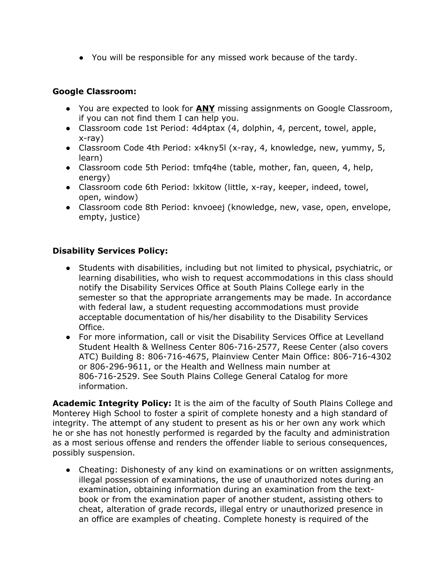● You will be responsible for any missed work because of the tardy.

### **Google Classroom:**

- You are expected to look for **ANY** missing assignments on Google Classroom, if you can not find them I can help you.
- Classroom code 1st Period: 4d4ptax (4, dolphin, 4, percent, towel, apple, x-ray)
- Classroom Code 4th Period: x4kny5l (x-ray, 4, knowledge, new, yummy, 5, learn)
- Classroom code 5th Period: tmfq4he (table, mother, fan, queen, 4, help, energy)
- Classroom code 6th Period: lxkitow (little, x-ray, keeper, indeed, towel, open, window)
- Classroom code 8th Period: knvoeej (knowledge, new, vase, open, envelope, empty, justice)

# **Disability Services Policy:**

- Students with disabilities, including but not limited to physical, psychiatric, or learning disabilities, who wish to request accommodations in this class should notify the Disability Services Office at South Plains College early in the semester so that the appropriate arrangements may be made. In accordance with federal law, a student requesting accommodations must provide acceptable documentation of his/her disability to the Disability Services Office.
- For more information, call or visit the Disability Services Office at Levelland Student Health & Wellness Center 806-716-2577, Reese Center (also covers ATC) Building 8: 806-716-4675, Plainview Center Main Office: 806-716-4302 or 806-296-9611, or the Health and Wellness main number at 806-716-2529. See South Plains College General Catalog for more information.

**Academic Integrity Policy:** It is the aim of the faculty of South Plains College and Monterey High School to foster a spirit of complete honesty and a high standard of integrity. The attempt of any student to present as his or her own any work which he or she has not honestly performed is regarded by the faculty and administration as a most serious offense and renders the offender liable to serious consequences, possibly suspension.

• Cheating: Dishonesty of any kind on examinations or on written assignments, illegal possession of examinations, the use of unauthorized notes during an examination, obtaining information during an examination from the textbook or from the examination paper of another student, assisting others to cheat, alteration of grade records, illegal entry or unauthorized presence in an office are examples of cheating. Complete honesty is required of the